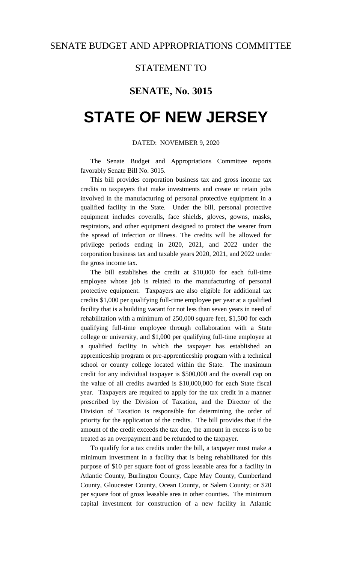### STATEMENT TO

## **SENATE, No. 3015**

# **STATE OF NEW JERSEY**

### DATED: NOVEMBER 9, 2020

The Senate Budget and Appropriations Committee reports favorably Senate Bill No. 3015.

This bill provides corporation business tax and gross income tax credits to taxpayers that make investments and create or retain jobs involved in the manufacturing of personal protective equipment in a qualified facility in the State. Under the bill, personal protective equipment includes coveralls, face shields, gloves, gowns, masks, respirators, and other equipment designed to protect the wearer from the spread of infection or illness. The credits will be allowed for privilege periods ending in 2020, 2021, and 2022 under the corporation business tax and taxable years 2020, 2021, and 2022 under the gross income tax.

The bill establishes the credit at \$10,000 for each full-time employee whose job is related to the manufacturing of personal protective equipment. Taxpayers are also eligible for additional tax credits \$1,000 per qualifying full-time employee per year at a qualified facility that is a building vacant for not less than seven years in need of rehabilitation with a minimum of 250,000 square feet, \$1,500 for each qualifying full-time employee through collaboration with a State college or university, and \$1,000 per qualifying full-time employee at a qualified facility in which the taxpayer has established an apprenticeship program or pre-apprenticeship program with a technical school or county college located within the State. The maximum credit for any individual taxpayer is \$500,000 and the overall cap on the value of all credits awarded is \$10,000,000 for each State fiscal year. Taxpayers are required to apply for the tax credit in a manner prescribed by the Division of Taxation, and the Director of the Division of Taxation is responsible for determining the order of priority for the application of the credits. The bill provides that if the amount of the credit exceeds the tax due, the amount in excess is to be treated as an overpayment and be refunded to the taxpayer.

To qualify for a tax credits under the bill, a taxpayer must make a minimum investment in a facility that is being rehabilitated for this purpose of \$10 per square foot of gross leasable area for a facility in Atlantic County, Burlington County, Cape May County, Cumberland County, Gloucester County, Ocean County, or Salem County; or \$20 per square foot of gross leasable area in other counties. The minimum capital investment for construction of a new facility in Atlantic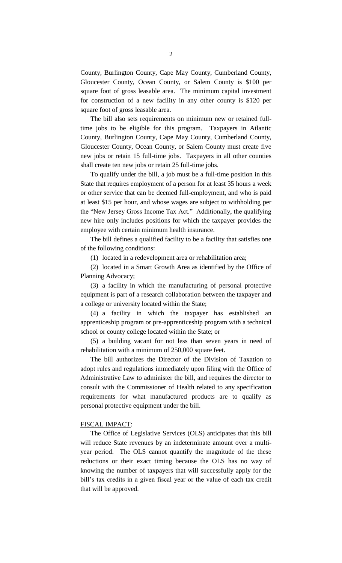County, Burlington County, Cape May County, Cumberland County, Gloucester County, Ocean County, or Salem County is \$100 per square foot of gross leasable area. The minimum capital investment for construction of a new facility in any other county is \$120 per square foot of gross leasable area.

The bill also sets requirements on minimum new or retained fulltime jobs to be eligible for this program. Taxpayers in Atlantic County, Burlington County, Cape May County, Cumberland County, Gloucester County, Ocean County, or Salem County must create five new jobs or retain 15 full-time jobs. Taxpayers in all other counties shall create ten new jobs or retain 25 full-time jobs.

To qualify under the bill, a job must be a full-time position in this State that requires employment of a person for at least 35 hours a week or other service that can be deemed full-employment, and who is paid at least \$15 per hour, and whose wages are subject to withholding per the "New Jersey Gross Income Tax Act." Additionally, the qualifying new hire only includes positions for which the taxpayer provides the employee with certain minimum health insurance.

The bill defines a qualified facility to be a facility that satisfies one of the following conditions:

(1) located in a redevelopment area or rehabilitation area;

(2) located in a Smart Growth Area as identified by the Office of Planning Advocacy;

(3) a facility in which the manufacturing of personal protective equipment is part of a research collaboration between the taxpayer and a college or university located within the State;

(4) a facility in which the taxpayer has established an apprenticeship program or pre-apprenticeship program with a technical school or county college located within the State; or

(5) a building vacant for not less than seven years in need of rehabilitation with a minimum of 250,000 square feet.

The bill authorizes the Director of the Division of Taxation to adopt rules and regulations immediately upon filing with the Office of Administrative Law to administer the bill, and requires the director to consult with the Commissioner of Health related to any specification requirements for what manufactured products are to qualify as personal protective equipment under the bill.

#### FISCAL IMPACT:

The Office of Legislative Services (OLS) anticipates that this bill will reduce State revenues by an indeterminate amount over a multiyear period. The OLS cannot quantify the magnitude of the these reductions or their exact timing because the OLS has no way of knowing the number of taxpayers that will successfully apply for the bill's tax credits in a given fiscal year or the value of each tax credit that will be approved.